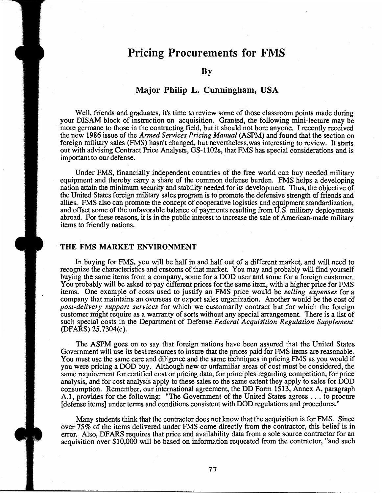# **Pricing Procurements for FMS**

**B**<sub>v</sub>

## Major Philip L. Cunningham, USA

Well, friends and graduates, it's time to review some of those classroom points made during your DISAM block of instruction on acquisition. Granted, the following mini-lecture may be more germane to those in the contracting field, but it should not bore anyone. I recently received the new 1986 issue ofthe *Armed Services Pricing Manual* (ASPM) and found that the section on foreign military sales (FMS) hasn't changed, but nevertheless,was interesting to review. It starts out with advising Contract Price Analysts, GS-1102s, that FMS has special considerations and is important to our defense.

Under FMS, financially independent countries of the free world can buy needed military equipment and thereby carry a share of the common defense burden. FMS helps a developing nation attain the minimum security and stability needed for its development. Thus, the objective of the United States foreign military sales program is to promote the defensive strength of friends and allies. FMS also can promote the concept of cooperative logistics and equipment standardization, and offset some of the unfavorable balance of payments resulting from U.S. military deployments abroad. For these reasons, it is in the public interest to increase the sale of American-made military items to friendly nations.

#### **THE FMS MARKET ENVIRONMENT**

In buying for FMS, you will be half in and half out of a different market, and will need to recognize the characteristics and customs of that market. You may and probably will find yourself buying the same items from a company, some for a DOD user and some for a foreign customer. You probably will be asked to pay different prices for the same item, with a higher price for FMS items. One example of costs used to justify an FMS price would be *selling expenses* for a company that maintains an overseas or export sales organization. Another would be the cost of *post-delivery support services* for which we customarily contract but for which the foreign customer might require as a warranty of sorts without any special arrangement. There is a list of such special costs in the Department of Defense *Federal Acquisition Regulation Supplement* (DFARS) 25.7304(c).

The ASPM goes on to say that foreign nations have been assured that the United States Government will use its best resources to insure that the prices paid for FMS items are reasonable. You must use the same care and diligence and the same techniques in pricing FMS as you would if you were pricing a DOD buy. Although new or unfamiliar areas of cost must be considered, the same requirement for certified cost or pricing data, for principles regarding competition, for price analysis, and for cost analysis apply to these sales to the same extent they apply to sales for DOD consumption. Remember, our international agreement, the DD Form 1513, Annex A, paragraph A.l, provides for the following: "The Government of the United States agrees ... to procure [defense items] under terms and conditions consistent with DOD regulations and procedures."

Many students think that the contractor does not know that the acquisition is for FMS. Since over 75% of the items delivered under FMS come directly from the contractor, this belief is in error. Also, DFARS requires that price and availability data from a sole source contractor for an acquisition over \$10,000 will be based on information requested from the contractor, "and such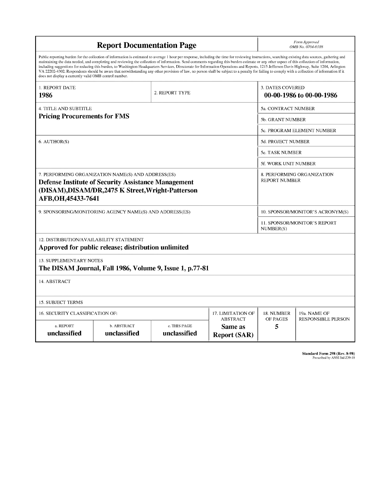| <b>Report Documentation Page</b>                                                                                                                                                                                                                                                                                                                                                                                                                                                                                                                                                                                                                                                                                                                                                                                                                                   |                             |                              |                                                   | Form Approved<br>OMB No. 0704-0188                 |                           |
|--------------------------------------------------------------------------------------------------------------------------------------------------------------------------------------------------------------------------------------------------------------------------------------------------------------------------------------------------------------------------------------------------------------------------------------------------------------------------------------------------------------------------------------------------------------------------------------------------------------------------------------------------------------------------------------------------------------------------------------------------------------------------------------------------------------------------------------------------------------------|-----------------------------|------------------------------|---------------------------------------------------|----------------------------------------------------|---------------------------|
| Public reporting burden for the collection of information is estimated to average 1 hour per response, including the time for reviewing instructions, searching existing data sources, gathering and<br>maintaining the data needed, and completing and reviewing the collection of information. Send comments regarding this burden estimate or any other aspect of this collection of information,<br>including suggestions for reducing this burden, to Washington Headquarters Services, Directorate for Information Operations and Reports, 1215 Jefferson Davis Highway, Suite 1204, Arlington<br>VA 22202-4302. Respondents should be aware that notwithstanding any other provision of law, no person shall be subject to a penalty for failing to comply with a collection of information if it<br>does not display a currently valid OMB control number. |                             |                              |                                                   |                                                    |                           |
| 1. REPORT DATE<br>1986                                                                                                                                                                                                                                                                                                                                                                                                                                                                                                                                                                                                                                                                                                                                                                                                                                             | 2. REPORT TYPE              |                              |                                                   | 3. DATES COVERED<br>00-00-1986 to 00-00-1986       |                           |
| 4. TITLE AND SUBTITLE                                                                                                                                                                                                                                                                                                                                                                                                                                                                                                                                                                                                                                                                                                                                                                                                                                              |                             |                              |                                                   | 5a. CONTRACT NUMBER                                |                           |
| <b>Pricing Procurements for FMS</b>                                                                                                                                                                                                                                                                                                                                                                                                                                                                                                                                                                                                                                                                                                                                                                                                                                |                             |                              |                                                   | 5b. GRANT NUMBER                                   |                           |
|                                                                                                                                                                                                                                                                                                                                                                                                                                                                                                                                                                                                                                                                                                                                                                                                                                                                    |                             |                              |                                                   | 5c. PROGRAM ELEMENT NUMBER                         |                           |
| 6. AUTHOR(S)                                                                                                                                                                                                                                                                                                                                                                                                                                                                                                                                                                                                                                                                                                                                                                                                                                                       |                             |                              |                                                   | 5d. PROJECT NUMBER                                 |                           |
|                                                                                                                                                                                                                                                                                                                                                                                                                                                                                                                                                                                                                                                                                                                                                                                                                                                                    |                             |                              |                                                   | 5e. TASK NUMBER                                    |                           |
|                                                                                                                                                                                                                                                                                                                                                                                                                                                                                                                                                                                                                                                                                                                                                                                                                                                                    |                             |                              |                                                   | 5f. WORK UNIT NUMBER                               |                           |
| 7. PERFORMING ORGANIZATION NAME(S) AND ADDRESS(ES)<br><b>Defense Institute of Security Assistance Management</b><br>(DISAM), DISAM/DR, 2475 K Street, Wright-Patterson<br>AFB, OH, 45433-7641                                                                                                                                                                                                                                                                                                                                                                                                                                                                                                                                                                                                                                                                      |                             |                              |                                                   | 8. PERFORMING ORGANIZATION<br><b>REPORT NUMBER</b> |                           |
| 9. SPONSORING/MONITORING AGENCY NAME(S) AND ADDRESS(ES)                                                                                                                                                                                                                                                                                                                                                                                                                                                                                                                                                                                                                                                                                                                                                                                                            |                             |                              |                                                   | 10. SPONSOR/MONITOR'S ACRONYM(S)                   |                           |
|                                                                                                                                                                                                                                                                                                                                                                                                                                                                                                                                                                                                                                                                                                                                                                                                                                                                    |                             |                              |                                                   | 11. SPONSOR/MONITOR'S REPORT<br>NUMBER(S)          |                           |
| 12. DISTRIBUTION/AVAILABILITY STATEMENT<br>Approved for public release; distribution unlimited                                                                                                                                                                                                                                                                                                                                                                                                                                                                                                                                                                                                                                                                                                                                                                     |                             |                              |                                                   |                                                    |                           |
| <b>13. SUPPLEMENTARY NOTES</b><br>The DISAM Journal, Fall 1986, Volume 9, Issue 1, p.77-81                                                                                                                                                                                                                                                                                                                                                                                                                                                                                                                                                                                                                                                                                                                                                                         |                             |                              |                                                   |                                                    |                           |
| 14. ABSTRACT                                                                                                                                                                                                                                                                                                                                                                                                                                                                                                                                                                                                                                                                                                                                                                                                                                                       |                             |                              |                                                   |                                                    |                           |
| 15. SUBJECT TERMS                                                                                                                                                                                                                                                                                                                                                                                                                                                                                                                                                                                                                                                                                                                                                                                                                                                  |                             |                              |                                                   |                                                    |                           |
| 16. SECURITY CLASSIFICATION OF:<br>17. LIMITATION OF                                                                                                                                                                                                                                                                                                                                                                                                                                                                                                                                                                                                                                                                                                                                                                                                               |                             |                              |                                                   | 18. NUMBER                                         | 19a. NAME OF              |
| a. REPORT<br>unclassified                                                                                                                                                                                                                                                                                                                                                                                                                                                                                                                                                                                                                                                                                                                                                                                                                                          | b. ABSTRACT<br>unclassified | c. THIS PAGE<br>unclassified | <b>ABSTRACT</b><br>Same as<br><b>Report (SAR)</b> | OF PAGES<br>5                                      | <b>RESPONSIBLE PERSON</b> |

**Standard Form 298 (Rev. 8-98)** Prescribed by ANSI Std Z39-18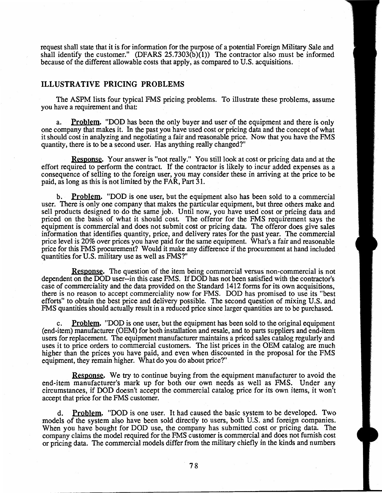request shall state that it is for information for the purpose of a potential Foreign Military Sale and shall identify the customer." (DFARS  $25.7303(b)(1)$ ) The contractor also must be informed because of the different allowable costs that apply, as compared to U.S. acquisitions.

### ILLUSTRATIVE PRICING PROBLEMS

The ASPM lists four typical FMS pricing problems, To illustrate these problems, assume you have a requirement and that:

a. Problem. "DOD has been the only buyer and user of the equipment and there is only one company that makes it. In the past you have used cost or pricing data and the concept of what it should cost in analyzing and negotiating a fair and reasonable price. Now that you have the FMS quantity, there is to be a second user. Has anything really changed?"

Response. Your answer is "not really." You still look at cost or pricing data and at the effort required to perform the contract. If the contractor is likely to incur added expenses as a consequence of selling to the foreign user, you may consider these in arriving at the price to be paid, as long as this is not limited by the FAR, Part 31.

b. Problem. "DOD is one user, but the equipment also has been sold to a commercial user. There is only one company that makes the particular equipment, but three others make and sell products designed to do the same job. Until now, you have used cost or pricing data and priced on the basis of what it should cost. The offeror for the FMS requirement says the equipment is commercial and does not submit cost or pricing data. The offeror does give sales information that identifies quantity, price, and delivery rates for the past year. The commercial price level is 20% over prices you have paid for the same equipment. What's a fair and reasonable price for this FMS procurement? Would it make any difference if the procurement at hand included quantities for U.S. military use as well as FMS?"

Response. The question of the item being commercial versus non-commercial is not dependent on the DOD user--in this case FMS. If DOD has not been satisfied with the contractor's case of commerciality and the data provided on the Standard 1412 forms for its own acquisitions, there is no reason to accept commerciality now for FMS. DOD has promised to use its "best efforts" to obtain the best price and delivery possible. The second question of mixing U.S. and FMS quantities should actually result in a reduced price since larger quantities are to be purchased.

c. Problem. "DOD is one user, but the equipment has been sold to the original equipment (end-item) manufacturer (OEM) for both installation and resale, and to parts suppliers and end-item users for replacement. The equipment manufacturer maintains a priced sales catalog regularly and uses it to price orders to commercial customers. The list prices in the OEM catalog are much higher than the prices you have paid, and even when discounted in the proposal for the FMS equipment, they remain higher. What do you do about price?"

Response. We try to continue buying from the equipment manufacturer to avoid the end-item manufacturer's mark up for both our own needs as well as FMS. Under any circumstances, if DOD doesn't accept the commercial catalog price for its own items, it won't accept that price for the FMS customer.

d. Problem. "DOD is one user. It had caused the basic system to be developed. Two models of the system also have been sold directly to users, both U.S. and foreign companies. When you have bought for DOD use, the company has submitted cost or pricing data. The company claims the model required for the FMS customer is commercial and does not furnish cost or pricing data. The commercial models differ from the military chiefly in the kinds and numbers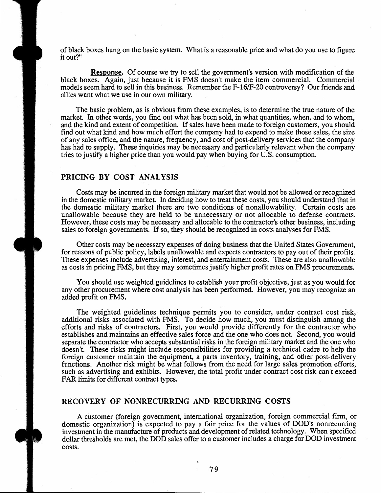of black boxes hung on the basic system. What is a reasonable price and what do you use to figure it out?"

Response. Of course we try to sell the government's version with modification of the black boxes. Again, just because it is FMS doesn't make the item commercial. Commercial models seem hard to sell in this business. Remember the F-16/F-20 controversy? Our friends and allies want what we use in our own military.

The basic problem, as is obvious from these examples, is to determine the true nature of the market. In other words, you find out what has been sold, in what quantities, when, and to whom, and the kind and extent of competition. If sales have been made to foreign customers, you should find out what kind and how much effort the company had to expend to make those sales, the size of any sales office, and the nature, frequency, and cost of post-delivery services that the company has had to supply. These inquiries may be necessary and particularly relevant when the company tries to justify a higher price than you would pay when buying for U.S. consumption.

#### PRICING BY COST ANALYSIS

Costs may be incurred in the foreign military market that would not be allowed or recognized in the domestic military market. In deciding how to treat these costs, you should understand that in the domestic military market there are two conditions of nonallowability. Certain costs are unallowable because they are held to be unnecessary or not allocable to defense contracts. However, these costs may be necessary and allocable to the contractor's other business, including sales to foreign governments. If so, they should be recognized in costs analyses for FMS.

Other costs may be necessary expenses of doing business that the United States Government, for reasons of public policy, labels unallowable and expects contractors to pay out of their profits. These expenses include advertising, interest, and entertainment costs. These are also unallowable as costs in pricing FMS, but they may sometimes justify higher profit rates on FMS procurements.

You should use weighted guidelines to establish your profit objective, just as you would for any other procurement where cost analysis has been performed. However, you may recognize an added profit on FMS.

The weighted guidelines technique permits you to consider, under contract cost risk, additional risks associated with FMS. To decide how much, you must distinguish among the efforts and risks of contractors. First, you would provide differently for the contractor who establishes and maintains an effective sales force and the one who does not. Second, you would separate the contractor who accepts substantial risks in the foreign military market and the one who doesn't. These risks might include responsibilities for providing a technical cadre to help the foreign customer maintain the equipment, a parts inventory, training, and other post-delivery functions. Another risk might be what follows from the need for large sales promotion efforts, such as advertising and exhibits. However, the total profit under contract cost risk can't exceed FAR limits for different contract types.

### RECOVERY OF NONRECURRING AND RECURRING COSTS

A customer (foreign government, international organization, foreign commercial firm, or domestic organization) is expected to pay a fair price for the values of DOD's nonrecurring investment in the manufacture of products and development of related technology. When specified dollar thresholds are met, the DOD sales offer to a customer includes a charge for DOD investment costs.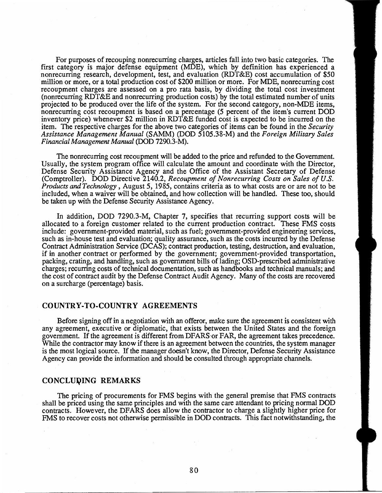For purposes of recouping nonrecurring charges, articles fall into two basic categories. The first category is major defense equipment (MDE), which by definition has experienced a nonrecurring research, development, test, and evaluation (RDT&E) cost accumulation of \$50 million or more, or a total production cost of \$200 million or more. For MDE, nonrecurring cost recoupment charges are assessed on a pro rata basis, by dividing the total cost investment (nonrecurring RDT&E and nonrecurring production costs) by the total estimated number of units projected to be produced over the life of the system. For the second category, non-MDE items, nonrecurring cost recoupment is based on a percentage (5 percent of the item's current DOD inventory price) whenever \$2 million in RDT&E funded cost is expected to be incurred on the item. The respective charges for the above two categories of items can be found in the *Security Assistance Management Manual* (SAMM) (DOD 5105.38-M) and the *Foreign Military Sales Financial Management Manual* (DOD 7290.3-M).

The nonrecurring cost recoupment will be added to the price and refunded to the Government. Usually, the system program office will calculate the amount and coordinate with the Director, Defense Security Assistance Agency and the Office of the Assistant Secretary of Defense (Comptroller). DOD Directive 2140.2, *Recoupment of Nonrecurring Costs on Sales of U.S. Products andTechnology* , August 5, 1985, contains criteria as to what costs are or are not to be included, when a waiver will be obtained, and how collection will be handled. These too, should be taken up with the Defense Security Assistance Agency.

In addition, DOD 7290.3-M, Chapter 7, specifies that recurring support costs will be allocated to a foreign customer related to the current production contract. These FMS costs include: government-provided material, such as fuel; government-provided engineering services, such as in-house test and evaluation; quality assurance, such as the costs incurred by the Defense Contract Administration Service (DCAS); contract production, testing, destruction, and evaluation, if in another contract or performed by the government; government-provided transportation, packing, crating, and handling, such as government bills of lading; OSD-prescribed administrative charges; recurring costs of technical documentation, such as handbooks and technical manuals; and the cost of contract audit by the Defense Contract Audit Agency. Many of the costs are recovered on a surcharge (percentage) basis.

#### **COUNTRY-TO-COUNTRY AGREEMENTS**

Before signing off in a negotiation with an offeror, make sure the agreement is consistent with any agreement, executive or diplomatic, that exists between the United States and the foreign government. If the agreement is different from DFARS or FAR, the agreement takes precedence. While the contractor may know if there is an agreement between the countries, the system manager is the most logical source. If the manager doesn't know, the Director, Defense Security Assistance Agency can provide the information and should be consulted through appropriate channels.

#### **CONCLUDING REMARKS**

The pricing of procurements for FMS begins with the general premise that FMS contracts shall be priced using the same principles and with the same care attendant to pricing normal DOD contracts. However, the DFARS does allow the contractor to charge a slightly higher price for FMS to recover costs not otherwise permissible in DOD contracts. This fact notwithstanding, the